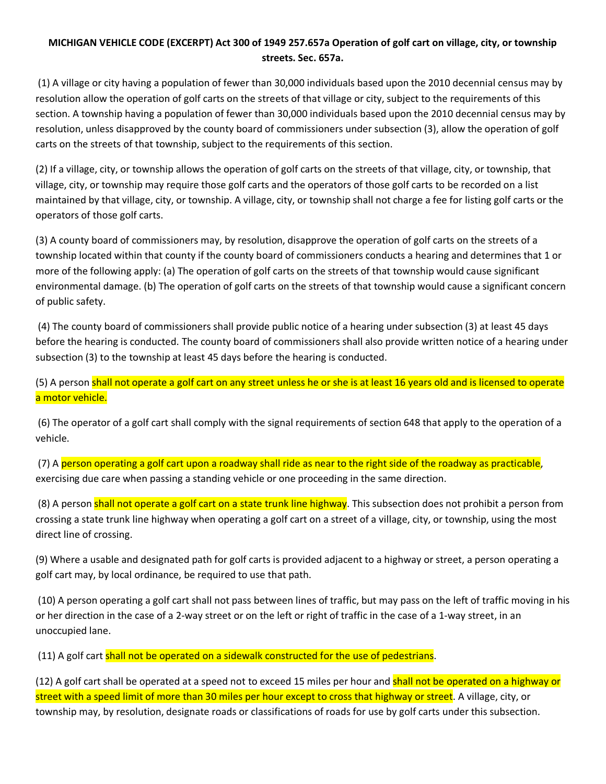## **MICHIGAN VEHICLE CODE (EXCERPT) Act 300 of 1949 257.657a Operation of golf cart on village, city, or township streets. Sec. 657a.**

(1) A village or city having a population of fewer than 30,000 individuals based upon the 2010 decennial census may by resolution allow the operation of golf carts on the streets of that village or city, subject to the requirements of this section. A township having a population of fewer than 30,000 individuals based upon the 2010 decennial census may by resolution, unless disapproved by the county board of commissioners under subsection (3), allow the operation of golf carts on the streets of that township, subject to the requirements of this section.

(2) If a village, city, or township allows the operation of golf carts on the streets of that village, city, or township, that village, city, or township may require those golf carts and the operators of those golf carts to be recorded on a list maintained by that village, city, or township. A village, city, or township shall not charge a fee for listing golf carts or the operators of those golf carts.

(3) A county board of commissioners may, by resolution, disapprove the operation of golf carts on the streets of a township located within that county if the county board of commissioners conducts a hearing and determines that 1 or more of the following apply: (a) The operation of golf carts on the streets of that township would cause significant environmental damage. (b) The operation of golf carts on the streets of that township would cause a significant concern of public safety.

(4) The county board of commissioners shall provide public notice of a hearing under subsection (3) at least 45 days before the hearing is conducted. The county board of commissioners shall also provide written notice of a hearing under subsection (3) to the township at least 45 days before the hearing is conducted.

(5) A person shall not operate a golf cart on any street unless he or she is at least 16 years old and is licensed to operate a motor vehicle.

(6) The operator of a golf cart shall comply with the signal requirements of section 648 that apply to the operation of a vehicle.

(7) A person operating a golf cart upon a roadway shall ride as near to the right side of the roadway as practicable, exercising due care when passing a standing vehicle or one proceeding in the same direction.

(8) A person shall not operate a golf cart on a state trunk line highway. This subsection does not prohibit a person from crossing a state trunk line highway when operating a golf cart on a street of a village, city, or township, using the most direct line of crossing.

(9) Where a usable and designated path for golf carts is provided adjacent to a highway or street, a person operating a golf cart may, by local ordinance, be required to use that path.

(10) A person operating a golf cart shall not pass between lines of traffic, but may pass on the left of traffic moving in his or her direction in the case of a 2-way street or on the left or right of traffic in the case of a 1-way street, in an unoccupied lane.

(11) A golf cart shall not be operated on a sidewalk constructed for the use of pedestrians.

(12) A golf cart shall be operated at a speed not to exceed 15 miles per hour and shall not be operated on a highway or street with a speed limit of more than 30 miles per hour except to cross that highway or street. A village, city, or township may, by resolution, designate roads or classifications of roads for use by golf carts under this subsection.